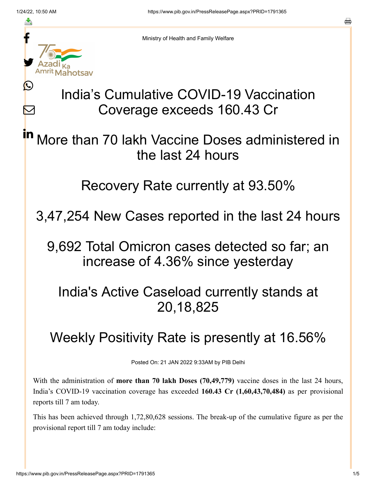≛

Ŀ

 $\bm{\nabla}$ 



Ministry of Health and Family Welfare

# India's Cumulative COVID-19 Vaccination Coverage exceeds 160.43 Cr

More than 70 lakh Vaccine Doses administered in the last 24 hours in

#### Recovery Rate currently at 93.50%

3,47,254 New Cases reported in the last 24 hours

9,692 Total Omicron cases detected so far; an increase of 4.36% since yesterday

### India's Active Caseload currently stands at 20,18,825

# Weekly Positivity Rate is presently at 16.56%

Posted On: 21 JAN 2022 9:33AM by PIB Delhi

With the administration of **more than 70 lakh Doses (70,49,779)** vaccine doses in the last 24 hours, India's COVID-19 vaccination coverage has exceeded **160.43 Cr (1,60,43,70,484)** as per provisional reports till 7 am today.

This has been achieved through 1,72,80,628 sessions. The break-up of the cumulative figure as per the provisional report till 7 am today include: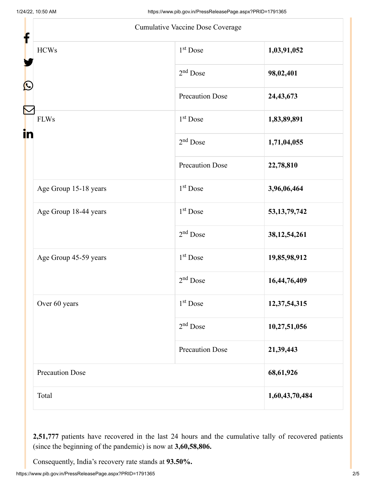| f                      | Cumulative Vaccine Dose Coverage |                 |
|------------------------|----------------------------------|-----------------|
| <b>HCWs</b>            | $1st$ Dose                       | 1,03,91,052     |
|                        | $2nd$ Dose                       | 98,02,401       |
| Ŀ                      | <b>Precaution Dose</b>           | 24,43,673       |
| <b>FLWs</b><br>in      | 1 <sup>st</sup> Dose             | 1,83,89,891     |
|                        | $2nd$ Dose                       | 1,71,04,055     |
|                        | Precaution Dose                  | 22,78,810       |
| Age Group 15-18 years  | $1st$ Dose                       | 3,96,06,464     |
| Age Group 18-44 years  | 1 <sup>st</sup> Dose             | 53, 13, 79, 742 |
|                        | $2nd$ Dose                       | 38, 12, 54, 261 |
| Age Group 45-59 years  | $1st$ Dose                       | 19,85,98,912    |
|                        | $2nd$ Dose                       | 16,44,76,409    |
| Over 60 years          | 1 <sup>st</sup> Dose             | 12,37,54,315    |
|                        | $2nd$ Dose                       | 10,27,51,056    |
|                        | <b>Precaution Dose</b>           | 21,39,443       |
| <b>Precaution Dose</b> |                                  | 68,61,926       |
| Total                  |                                  | 1,60,43,70,484  |

**2,51,777** patients have recovered in the last 24 hours and the cumulative tally of recovered patients (since the beginning of the pandemic) is now at **3,60,58,806.**

Consequently, India's recovery rate stands at **93.50%.**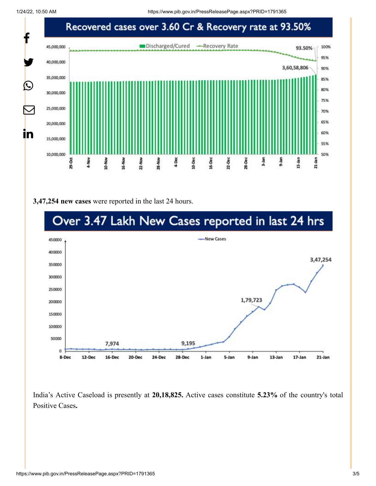1/24/22, 10:50 AM https://www.pib.gov.in/PressReleasePage.aspx?PRID=1791365



#### **3,47,254 new cases** were reported in the last 24 hours.



India's Active Caseload is presently at **20,18,825.** Active cases constitute **5.23%** of the country's total Positive Cases**.**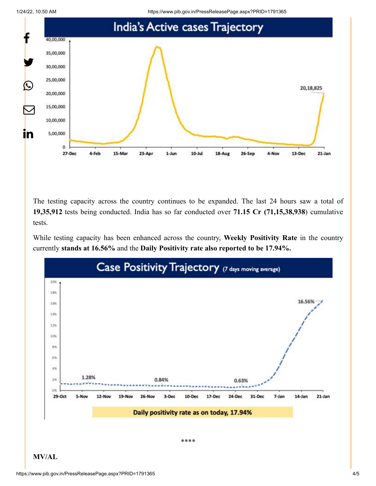

The testing capacity across the country continues to be expanded. The last 24 hours saw a total of **19,35,912** tests being conducted. India has so far conducted over **71.15 Cr (71,15,38,938**) cumulative tests.

While testing capacity has been enhanced across the country, **Weekly Positivity Rate** in the country currently **stands at 16.56%** and the **Daily Positivity rate also reported to be 17.94%.**